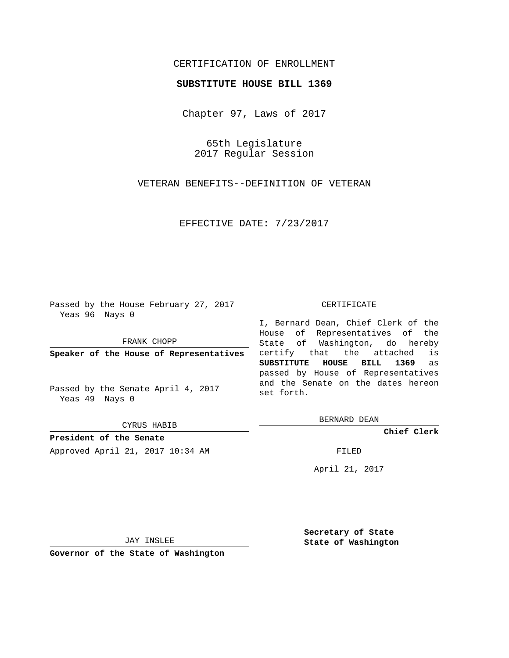## CERTIFICATION OF ENROLLMENT

## **SUBSTITUTE HOUSE BILL 1369**

Chapter 97, Laws of 2017

65th Legislature 2017 Regular Session

VETERAN BENEFITS--DEFINITION OF VETERAN

EFFECTIVE DATE: 7/23/2017

Passed by the House February 27, 2017 Yeas 96 Nays 0

FRANK CHOPP

**Speaker of the House of Representatives**

Passed by the Senate April 4, 2017 Yeas 49 Nays 0

CYRUS HABIB

**President of the Senate** Approved April 21, 2017 10:34 AM FILED

## CERTIFICATE

I, Bernard Dean, Chief Clerk of the House of Representatives of the State of Washington, do hereby certify that the attached is **SUBSTITUTE HOUSE BILL 1369** as passed by House of Representatives and the Senate on the dates hereon set forth.

BERNARD DEAN

**Chief Clerk**

April 21, 2017

JAY INSLEE

**Governor of the State of Washington**

**Secretary of State State of Washington**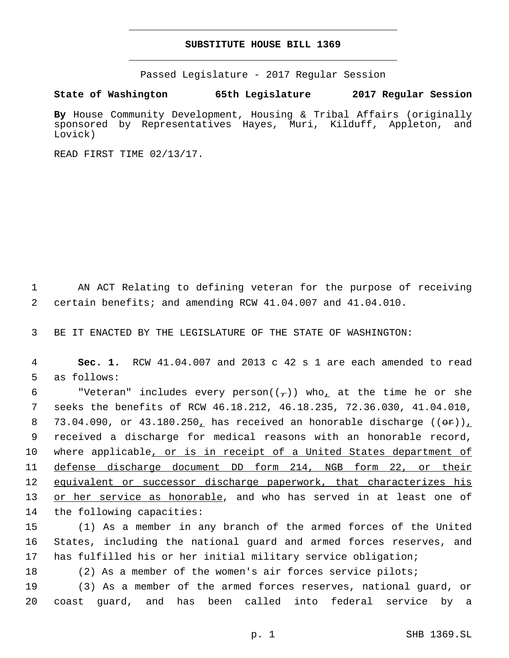## **SUBSTITUTE HOUSE BILL 1369**

Passed Legislature - 2017 Regular Session

**State of Washington 65th Legislature 2017 Regular Session**

**By** House Community Development, Housing & Tribal Affairs (originally sponsored by Representatives Hayes, Muri, Kilduff, Appleton, and Lovick)

READ FIRST TIME 02/13/17.

1 AN ACT Relating to defining veteran for the purpose of receiving 2 certain benefits; and amending RCW 41.04.007 and 41.04.010.

3 BE IT ENACTED BY THE LEGISLATURE OF THE STATE OF WASHINGTON:

4 **Sec. 1.** RCW 41.04.007 and 2013 c 42 s 1 are each amended to read 5 as follows:

6 "Veteran" includes every person $((\tau))$  who, at the time he or she 7 seeks the benefits of RCW 46.18.212, 46.18.235, 72.36.030, 41.04.010, 8 73.04.090, or 43.180.250, has received an honorable discharge  $((\Theta \cdot \mathbf{F}))$ , 9 received a discharge for medical reasons with an honorable record, 10 where applicable, or is in receipt of a United States department of 11 defense discharge document DD form 214, NGB form 22, or their 12 equivalent or successor discharge paperwork, that characterizes his 13 or her service as honorable, and who has served in at least one of 14 the following capacities:

15 (1) As a member in any branch of the armed forces of the United 16 States, including the national guard and armed forces reserves, and 17 has fulfilled his or her initial military service obligation;

18 (2) As a member of the women's air forces service pilots;

19 (3) As a member of the armed forces reserves, national guard, or 20 coast guard, and has been called into federal service by a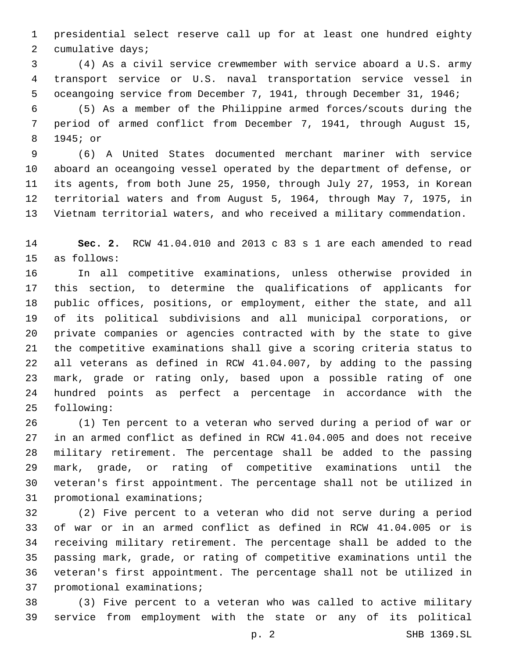presidential select reserve call up for at least one hundred eighty 2 cumulative days;

 (4) As a civil service crewmember with service aboard a U.S. army transport service or U.S. naval transportation service vessel in oceangoing service from December 7, 1941, through December 31, 1946;

 (5) As a member of the Philippine armed forces/scouts during the period of armed conflict from December 7, 1941, through August 15, 8 1945; or

 (6) A United States documented merchant mariner with service aboard an oceangoing vessel operated by the department of defense, or its agents, from both June 25, 1950, through July 27, 1953, in Korean territorial waters and from August 5, 1964, through May 7, 1975, in Vietnam territorial waters, and who received a military commendation.

 **Sec. 2.** RCW 41.04.010 and 2013 c 83 s 1 are each amended to read 15 as follows:

 In all competitive examinations, unless otherwise provided in this section, to determine the qualifications of applicants for public offices, positions, or employment, either the state, and all of its political subdivisions and all municipal corporations, or private companies or agencies contracted with by the state to give the competitive examinations shall give a scoring criteria status to all veterans as defined in RCW 41.04.007, by adding to the passing mark, grade or rating only, based upon a possible rating of one hundred points as perfect a percentage in accordance with the 25 following:

 (1) Ten percent to a veteran who served during a period of war or in an armed conflict as defined in RCW 41.04.005 and does not receive military retirement. The percentage shall be added to the passing mark, grade, or rating of competitive examinations until the veteran's first appointment. The percentage shall not be utilized in 31 promotional examinations;

 (2) Five percent to a veteran who did not serve during a period of war or in an armed conflict as defined in RCW 41.04.005 or is receiving military retirement. The percentage shall be added to the passing mark, grade, or rating of competitive examinations until the veteran's first appointment. The percentage shall not be utilized in 37 promotional examinations;

 (3) Five percent to a veteran who was called to active military service from employment with the state or any of its political

p. 2 SHB 1369.SL